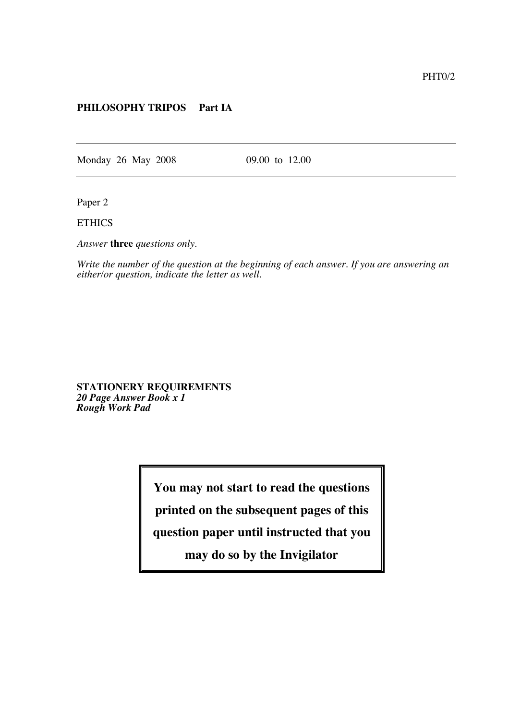## **PHILOSOPHY TRIPOS Part IA**

Monday 26 May 2008 09.00 to 12.00

Paper 2

**ETHICS** 

*Answer* **three** *questions only.*

*Write the number of the question at the beginning of each answer. If you are answering an either/or question, indicate the letter as well.*

**STATIONERY REQUIREMENTS** *20 Page Answer Book x 1 Rough Work Pad*

**You may not start to read the questions**

**printed on the subsequent pages of this**

**question paper until instructed that you**

**may do so by the Invigilator**